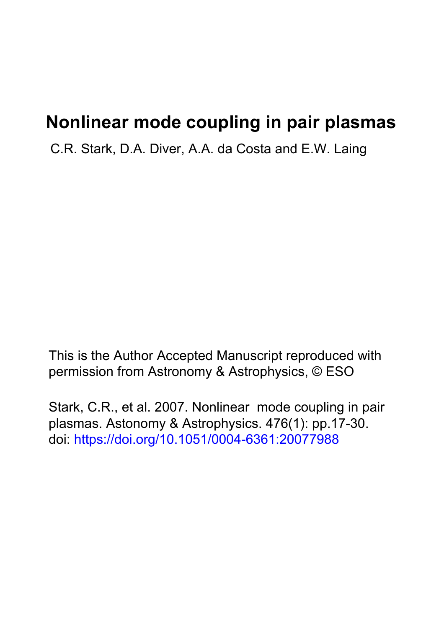# **Nonlinear mode coupling in pair plasmas**

C.R. Stark, D.A. Diver, A.A. da Costa and E.W. Laing

This is the Author Accepted Manuscript reproduced with permission from Astronomy & Astrophysics, © ESO

Stark, C.R., et al. 2007. Nonlinear mode coupling in pair plasmas. Astonomy & Astrophysics. 476(1): pp.17-30. doi:<https://doi.org/10.1051/0004-6361:20077988>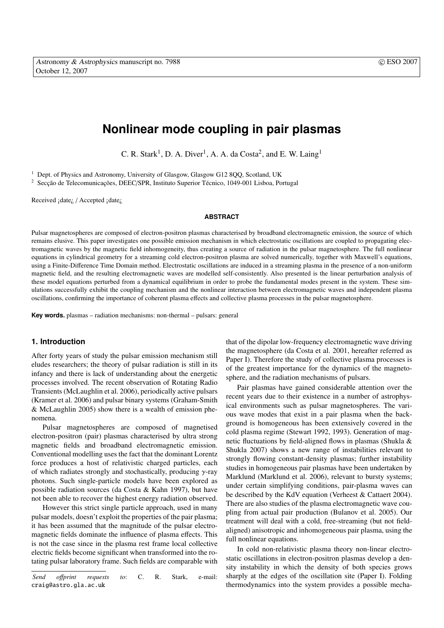# **Nonlinear mode coupling in pair plasmas**

C. R. Stark<sup>1</sup>, D. A. Diver<sup>1</sup>, A. A. da Costa<sup>2</sup>, and E. W. Laing<sup>1</sup>

<sup>1</sup> Dept. of Physics and Astronomy, University of Glasgow, Glasgow G12 8QQ, Scotland, UK

<sup>2</sup> Secção de Telecomunicações, DEEC/SPR, Instituto Superior Técnico, 1049-001 Lisboa, Portugal

Received ¡date¿ / Accepted ¡date¿

#### **ABSTRACT**

Pulsar magnetospheres are composed of electron-positron plasmas characterised by broadband electromagnetic emission, the source of which remains elusive. This paper investigates one possible emission mechanism in which electrostatic oscillations are coupled to propagating electromagnetic waves by the magnetic field inhomogeneity, thus creating a source of radiation in the pulsar magnetosphere. The full nonlinear equations in cylindrical geometry for a streaming cold electron-positron plasma are solved numerically, together with Maxwell's equations, using a Finite-Difference Time Domain method. Electrostatic oscillations are induced in a streaming plasma in the presence of a non-uniform magnetic field, and the resulting electromagnetic waves are modelled self-consistently. Also presented is the linear perturbation analysis of these model equations perturbed from a dynamical equilibrium in order to probe the fundamental modes present in the system. These simulations successfully exhibit the coupling mechanism and the nonlinear interaction between electromagnetic waves and independent plasma oscillations, confirming the importance of coherent plasma effects and collective plasma processes in the pulsar magnetosphere.

**Key words.** plasmas – radiation mechanisms: non-thermal – pulsars: general

# **1. Introduction**

After forty years of study the pulsar emission mechanism still eludes researchers; the theory of pulsar radiation is still in its infancy and there is lack of understanding about the energetic processes involved. The recent observation of Rotating Radio Transients (McLaughlin et al. 2006), periodically active pulsars (Kramer et al. 2006) and pulsar binary systems (Graham-Smith & McLaughlin 2005) show there is a wealth of emission phenomena.

Pulsar magnetospheres are composed of magnetised electron-positron (pair) plasmas characterised by ultra strong magnetic fields and broadband electromagnetic emission. Conventional modelling uses the fact that the dominant Lorentz force produces a host of relativistic charged particles, each of which radiates strongly and stochastically, producing  $\gamma$ -ray photons. Such single-particle models have been explored as possible radiation sources (da Costa & Kahn 1997), but have not been able to recover the highest energy radiation observed.

However this strict single particle approach, used in many pulsar models, doesn't exploit the properties of the pair plasma; it has been assumed that the magnitude of the pulsar electromagnetic fields dominate the influence of plasma effects. This is not the case since in the plasma rest frame local collective electric fields become significant when transformed into the rotating pulsar laboratory frame. Such fields are comparable with that of the dipolar low-frequency electromagnetic wave driving the magnetosphere (da Costa et al. 2001, hereafter referred as Paper I). Therefore the study of collective plasma processes is of the greatest importance for the dynamics of the magnetosphere, and the radiation mechanisms of pulsars.

Pair plasmas have gained considerable attention over the recent years due to their existence in a number of astrophysical environments such as pulsar magnetospheres. The various wave modes that exist in a pair plasma when the background is homogeneous has been extensively covered in the cold plasma regime (Stewart 1992, 1993). Generation of magnetic fluctuations by field-aligned flows in plasmas (Shukla & Shukla 2007) shows a new range of instabilities relevant to strongly flowing constant-density plasmas; further instability studies in homogeneous pair plasmas have been undertaken by Marklund (Marklund et al. 2006), relevant to bursty systems; under certain simplifying conditions, pair-plasma waves can be described by the KdV equation (Verheest & Cattaert 2004). There are also studies of the plasma electromagnetic wave coupling from actual pair production (Bulanov et al. 2005). Our treatment will deal with a cold, free-streaming (but not fieldaligned) anisotropic and inhomogeneous pair plasma, using the full nonlinear equations.

In cold non-relativistic plasma theory non-linear electrostatic oscillations in electron-positron plasmas develop a density instability in which the density of both species grows sharply at the edges of the oscillation site (Paper I). Folding thermodynamics into the system provides a possible mecha-

*Send o*ff*print requests to*: C. R. Stark, e-mail: craig@astro.gla.ac.uk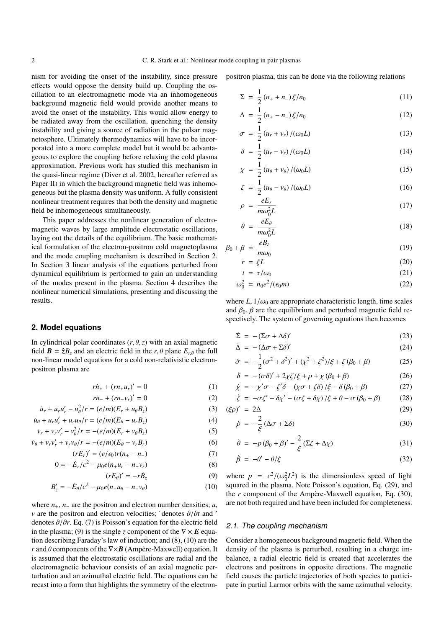nism for avoiding the onset of the instability, since pressure effects would oppose the density build up. Coupling the oscillation to an electromagnetic mode via an inhomogeneous background magnetic field would provide another means to avoid the onset of the instability. This would allow energy to be radiated away from the oscillation, quenching the density instability and giving a source of radiation in the pulsar magnetosphere. Ultimately thermodynamics will have to be incorporated into a more complete model but it would be advantageous to explore the coupling before relaxing the cold plasma approximation. Previous work has studied this mechanism in the quasi-linear regime (Diver et al. 2002, hereafter referred as Paper II) in which the background magnetic field was inhomogeneous but the plasma density was uniform. A fully consistent nonlinear treatment requires that both the density and magnetic field be inhomogeneous simultaneously.

This paper addresses the nonlinear generation of electromagnetic waves by large amplitude electrostatic oscillations, laying out the details of the equilibrium. The basic mathematical formulation of the electron-positron cold magnetoplasma and the mode coupling mechanism is described in Section 2. In Section 3 linear analysis of the equations perturbed from dynamical equilibrium is performed to gain an understanding of the modes present in the plasma. Section 4 describes the nonlinear numerical simulations, presenting and discussing the results.

# **2. Model equations**

In cylindrical polar coordinates  $(r, \theta, z)$  with an axial magnetic field  $\mathbf{B} = \hat{\zeta}B_{\zeta}$  and an electric field in the *r*,  $\theta$  plane  $E_{r\theta}$  the full non-linear model equations for a cold non-relativistic electronpositron plasma are

$$
r\dot{n}_{+} + (rn_{+}u_{r})' = 0 \tag{1}
$$

$$
r\dot{n}_{-} + (rn_{-}v_{r})' = 0
$$
 (2)

$$
\dot{u}_r + u_r u'_r - u_\theta^2 / r = (e/m)(E_r + u_\theta B_z)
$$
 (3)

$$
\dot{u}_{\theta} + u_r u'_r + u_r u_{\theta}/r = (e/m)(E_{\theta} - u_r B_z)
$$
\n(4)

$$
\dot{v}_r + v_r v'_r - v_\theta^2 / r = -(e/m)(E_r + v_\theta B_z)
$$
\n(5)

$$
\dot{\nu}_{\theta} + \nu_r \nu'_r + \nu_r \nu_{\theta}/r = -(e/m)(E_{\theta} - \nu_r B_z)
$$
\n<sup>(6)</sup>

$$
(rE_r)' = (e/\epsilon_0)r(n_+ - n_-)
$$
\n(7)

$$
0 = -\dot{E}_r/c^2 - \mu_0 e(n_+ u_r - n_- v_r)
$$
 (8)

$$
(rE_{\theta})' = -r\dot{B}_z \tag{9}
$$

$$
B'_{z} = -\dot{E}_{\theta}/c^2 - \mu_0 e(n_+u_{\theta} - n_-v_{\theta})
$$
 (10)

where  $n_+$ ,  $n_-$  are the positron and electron number densities; *u*, *v* are the positron and electron velocities; `denotes  $\partial/\partial t$  and ' denotes ∂/∂*r*. Eq. (7) is Poisson's equation for the electric field in the plasma; (9) is the single *z* component of the  $\nabla \times E$  equation describing Faraday's law of induction; and (8), (10) are the *r* and  $\theta$  components of the  $\nabla \times \mathbf{B}$  (Ampère-Maxwell) equation. It is assumed that the electrostatic oscillations are radial and the electromagnetic behaviour consists of an axial magnetic perturbation and an azimuthal electric field. The equations can be recast into a form that highlights the symmetry of the electronpositron plasma, this can be done via the following relations

$$
\Sigma = \frac{1}{2} (n_+ + n_-) \xi / n_0 \tag{11}
$$

$$
\Delta = \frac{1}{2} (n_+ - n_-) \xi / n_0 \tag{12}
$$

$$
\sigma = \frac{1}{2} \left( u_r + v_r \right) / (\omega_0 L) \tag{13}
$$

$$
\delta = \frac{1}{2} \left( u_r - v_r \right) / (\omega_0 L) \tag{14}
$$

$$
\chi = \frac{1}{2} \left( u_{\theta} + v_{\theta} \right) / (\omega_0 L) \tag{15}
$$

$$
\zeta = \frac{1}{2} \left( u_{\theta} - v_{\theta} \right) / (\omega_0 L) \tag{16}
$$

$$
\rho = \frac{eE_r}{m\omega_0^2 L} \tag{17}
$$

$$
\theta = \frac{eE_{\theta}}{m\omega_0^2 L} \tag{18}
$$

$$
\beta_0 + \beta = \frac{eB_z}{m\omega_0} \tag{19}
$$

$$
r = \xi L \tag{20}
$$

$$
t = \tau/\omega_0 \tag{21}
$$

$$
\omega_0^2 = n_0 e^2 / (\epsilon_0 m) \tag{22}
$$

where  $L$ ,  $1/\omega_0$  are appropriate characteristic length, time scales and  $\beta_0$ ,  $\beta$  are the equilibrium and perturbed magnetic field respectively. The system of governing equations then becomes

$$
\dot{\Sigma} = -(\Sigma \sigma + \Delta \delta)'
$$
 (23)

$$
\dot{\Delta} = -(\Delta \sigma + \Sigma \delta)'
$$
 (24)

$$
\dot{\sigma} = -\frac{1}{2}(\sigma^2 + \delta^2)' + (\chi^2 + \zeta^2)/\xi + \zeta(\beta_0 + \beta)
$$
 (25)

$$
\dot{\delta} = -(\sigma \delta)' + 2\chi \zeta/\xi + \rho + \chi (\beta_0 + \beta) \tag{26}
$$

$$
\dot{\chi} = -\chi'\sigma - \zeta'\delta - (\chi\sigma + \zeta\delta)/\xi - \delta(\beta_0 + \beta)
$$
 (27)

$$
\dot{\zeta} = -\sigma \zeta' - \delta \chi' - (\sigma \zeta + \delta \chi) / \xi + \theta - \sigma (\beta_0 + \beta) \tag{28}
$$

$$
(\xi \rho)' = 2\Delta \tag{29}
$$

$$
\dot{\rho} = -\frac{2}{\xi} (\Delta \sigma + \Sigma \delta) \tag{30}
$$

$$
\dot{\theta} = -p(\beta_0 + \beta)' - \frac{2}{\xi}(\Sigma\zeta + \Delta\chi)
$$
\n(31)

$$
\dot{\beta} = -\theta' - \theta/\xi \tag{32}
$$

where  $p = c^2/(\omega_0^2 L^2)$  is the dimensionless speed of light squared in the plasma. Note Poisson's equation, Eq. (29), and the *r* component of the Ampère-Maxwell equation, Eq. (30), are not both required and have been included for completeness.

#### 2.1. The coupling mechanism

Consider a homogeneous background magnetic field. When the density of the plasma is perturbed, resulting in a charge imbalance, a radial electric field is created that accelerates the electrons and positrons in opposite directions. The magnetic field causes the particle trajectories of both species to participate in partial Larmor orbits with the same azimuthal velocity.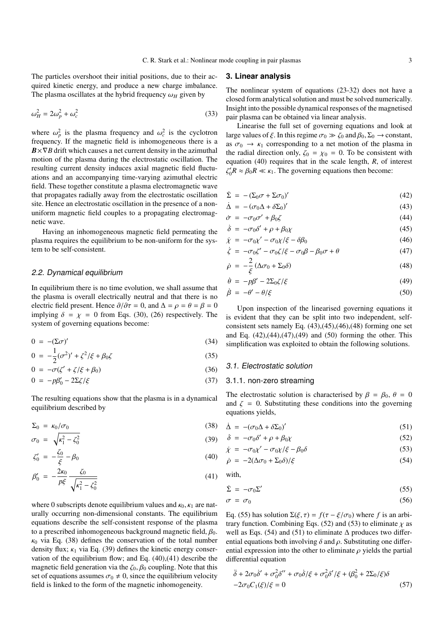The particles overshoot their initial positions, due to their acquired kinetic energy, and produce a new charge imbalance. The plasma oscillates at the hybrid frequency  $\omega_H$  given by

$$
\omega_H^2 = 2\omega_p^2 + \omega_c^2 \tag{33}
$$

where  $\omega_p^2$  is the plasma frequency and  $\omega_c^2$  is the cyclotron frequency. If the magnetic field is inhomogeneous there is a  $B \times \nabla B$  drift which causes a net current density in the azimuthal motion of the plasma during the electrostatic oscillation. The resulting current density induces axial magnetic field fluctuations and an accompanying time-varying azimuthal electric field. These together constitute a plasma electromagnetic wave that propagates radially away from the electrostatic oscillation site. Hence an electrostatic oscillation in the presence of a nonuniform magnetic field couples to a propagating electromagnetic wave.

Having an inhomogeneous magnetic field permeating the plasma requires the equilibrium to be non-uniform for the system to be self-consistent.

# 2.2. Dynamical equilibrium

In equilibrium there is no time evolution, we shall assume that the plasma is overall electrically neutral and that there is no electric field present. Hence  $\partial/\partial \tau = 0$ , and  $\Delta = \rho = \theta = \beta = 0$ implying  $\delta = \chi = 0$  from Eqs. (30), (26) respectively. The system of governing equations become:

$$
0 = -(\Sigma \sigma)'
$$
 (34)

$$
0 = -\frac{1}{2}(\sigma^2)' + \zeta^2/\xi + \beta_0\zeta
$$
 (35)

$$
0 = -\sigma(\zeta' + \zeta/\xi + \beta_0) \tag{36}
$$

$$
0 = -p\beta'_0 - 2\Sigma \zeta/\xi \tag{37}
$$

The resulting equations show that the plasma is in a dynamical equilibrium described by

$$
\Sigma_0 = \kappa_0 / \sigma_0 \tag{38}
$$

$$
\sigma_0 = \sqrt{\kappa_1^2 - \zeta_0^2} \tag{39}
$$

$$
\zeta_0' = -\frac{\zeta_0}{\xi} - \beta_0 \tag{40}
$$

$$
\beta'_0 = -\frac{2\kappa_0}{p\xi} \frac{\zeta_0}{\sqrt{\kappa_1^2 - \zeta_0^2}}\tag{41}
$$

where 0 subscripts denote equilibrium values and  $\kappa_0$ ,  $\kappa_1$  are naturally occurring non-dimensional constants. The equilibrium equations describe the self-consistent response of the plasma to a prescribed inhomogeneous background magnetic field,  $\beta_0$ .  $\kappa_0$  via Eq. (38) defines the conservation of the total number density flux;  $\kappa_1$  via Eq. (39) defines the kinetic energy conservation of the equilibrium flow; and Eq. (40),(41) describe the magnetic field generation via the  $\zeta_0$ ,  $\beta_0$  coupling. Note that this set of equations assumes  $\sigma_0 \neq 0$ , since the equilibrium velocity field is linked to the form of the magnetic inhomogeneity.

#### **3. Linear analysis**

The nonlinear system of equations (23-32) does not have a closed form analytical solution and must be solved numerically. Insight into the possible dynamical responses of the magnetised pair plasma can be obtained via linear analysis.

Linearise the full set of governing equations and look at large values of  $\xi$ . In this regime  $\sigma_0 \gg \zeta_0$  and  $\beta_0$ ,  $\Sigma_0 \rightarrow$  constant, as  $\sigma_0 \rightarrow \kappa_1$  corresponding to a net motion of the plasma in the radial direction only,  $\zeta_0 = \chi_0 = 0$ . To be consistent with equation (40) requires that in the scale length, *R*, of interest  $\zeta_0'R \approx \beta_0 R \ll \kappa_1$ . The governing equations then become:

$$
\dot{\Sigma} = -(\Sigma_0 \sigma + \Sigma \sigma_0)'
$$
 (42)

$$
\dot{\Delta} = -(\sigma_0 \Delta + \delta \Sigma_0)'
$$
 (43)

$$
\dot{\sigma} = -\sigma_0 \sigma' + \beta_0 \zeta \tag{44}
$$

$$
\dot{\delta} = -\sigma_0 \delta' + \rho + \beta_0 \chi \tag{45}
$$

$$
\dot{\chi} = -\sigma_0 \chi' - \sigma_0 \chi / \xi - \delta \beta_0 \tag{46}
$$

$$
\dot{\zeta} = -\sigma_0 \zeta' - \sigma_0 \zeta / \xi - \sigma_0 \beta - \beta_0 \sigma + \theta \tag{47}
$$

$$
\dot{\rho} = -\frac{2}{\xi} \left( \Delta \sigma_0 + \Sigma_0 \delta \right) \tag{48}
$$

$$
\dot{\theta} = -p\beta' - 2\Sigma_0 \zeta/\xi \tag{49}
$$

$$
\dot{\beta} = -\theta' - \theta/\xi \tag{50}
$$

Upon inspection of the linearised governing equations it is evident that they can be split into two independent, selfconsistent sets namely Eq.  $(43)$ , $(45)$ , $(46)$ , $(48)$  forming one set and Eq.  $(42),(44),(47),(49)$  and  $(50)$  forming the other. This simplification was exploited to obtain the following solutions.

#### 3.1. Electrostatic solution

#### 3.1.1. non-zero streaming

The electrostatic solution is characterised by  $\beta = \beta_0$ ,  $\theta = 0$ and  $\zeta = 0$ . Substituting these conditions into the governing equations yields,

$$
\dot{\Delta} = -(\sigma_0 \Delta + \delta \Sigma_0)'
$$
 (51)

$$
\dot{\delta} = -\sigma_0 \delta' + \rho + \beta_0 \chi \tag{52}
$$

$$
\dot{\chi} = -\sigma_0 \chi' - \sigma_0 \chi / \xi - \beta_0 \delta \tag{53}
$$

$$
\dot{\rho} = -2(\Delta \sigma_0 + \Sigma_0 \delta) / \xi \tag{54}
$$

with,

$$
\dot{\Sigma} = -\sigma_0 \Sigma' \tag{55}
$$

$$
\sigma = \sigma_0 \tag{56}
$$

Eq. (55) has solution  $\Sigma(\xi, \tau) = f(\tau - \xi/\sigma_0)$  where *f* is an arbitrary function. Combining Eqs. (52) and (53) to eliminate  $\chi$  as well as Eqs. (54) and (51) to eliminate  $\Delta$  produces two differential equations both involving  $\delta$  and  $\rho$ . Substituting one differential expression into the other to eliminate  $\rho$  yields the partial differential equation

$$
\ddot{\delta} + 2\sigma_0 \dot{\delta}' + \sigma_0^2 \delta'' + \sigma_0 \dot{\delta}/\xi + \sigma_0^2 \delta'/\xi + (\beta_0^2 + 2\Sigma_0/\xi)\delta
$$
  
-2\sigma\_0 C\_1(\xi)/\xi = 0 (57)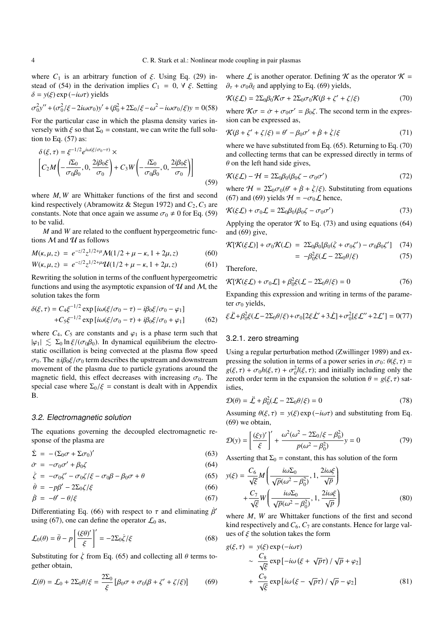where  $C_1$  is an arbitrary function of  $\xi$ . Using Eq. (29) instead of (54) in the derivation implies  $C_1 = 0, \forall \xi$ . Setting δ = *y*(ξ) exp (−*i*ωτ) yields

$$
\sigma_0^2 y'' + (\sigma_0^2/\xi - 2i\omega\sigma_0)y' + (\beta_0^2 + 2\Sigma_0/\xi - \omega^2 - i\omega\sigma_0/\xi)y = 0(58)
$$

For the particular case in which the plasma density varies inversely with  $\xi$  so that  $\Sigma_0$  = constant, we can write the full solution to Eq.  $(57)$  as:

$$
\delta(\xi,\tau) = \xi^{-1/2} e^{i\omega(\xi/\sigma_0-\tau)} \times \left[ C_2 M \left( -\frac{i\Sigma_0}{\sigma_0 \beta_0}, 0, \frac{2i\beta_0 \xi}{\sigma_0} \right) + C_3 W \left( -\frac{i\Sigma_0}{\sigma_0 \beta_0}, 0, \frac{2i\beta_0 \xi}{\sigma_0} \right) \right]
$$
(59)

where *M*, *W* are Whittaker functions of the first and second kind respectively (Abramowitz & Stegun 1972) and  $C_2$ ,  $C_3$  are constants. Note that once again we assume  $\sigma_0 \neq 0$  for Eq. (59) to be valid.

*M* and *W* are related to the confluent hypergeometric functions  $M$  and  $U$  as follows

$$
M(\kappa, \mu, z) = e^{-z/2} z^{1/2 + \mu} \mathcal{M}(1/2 + \mu - \kappa, 1 + 2\mu, z)
$$
(60)

$$
W(\kappa, \mu, z) = e^{-z/2} z^{1/2 + \mu} \mathcal{U}(1/2 + \mu - \kappa, 1 + 2\mu, z)
$$
(61)

Rewriting the solution in terms of the confluent hypergeometric functions and using the asymptotic expansion of  $U$  and  $M$ , the solution takes the form

$$
\delta(\xi,\tau) = C_4 \xi^{-1/2} \exp[i\omega(\xi/\sigma_0 - \tau) - i\beta_0 \xi/\sigma_0 - \varphi_1] + C_5 \xi^{-1/2} \exp[i\omega(\xi/\sigma_0 - \tau) + i\beta_0 \xi/\sigma_0 + \varphi_1]
$$
(62)

where  $C_4$ ,  $C_5$  are constants and  $\varphi_1$  is a phase term such that  $|\varphi_1| \lesssim \Sigma_0 \ln \xi / (\sigma_0 \beta_0)$ . In dynamical equilibrium the electrostatic oscillation is being convected at the plasma flow speed  $\sigma_0$ . The  $\pm i\beta_0 \xi/\sigma_0$  term describes the upstream and downstream movement of the plasma due to particle gyrations around the magnetic field, this effect decreases with increasing  $\sigma_0$ . The special case where  $\Sigma_0/\xi$  = constant is dealt with in Appendix B.

#### 3.2. Electromagnetic solution

The equations governing the decoupled electromagnetic response of the plasma are

$$
\dot{\Sigma} = -(\Sigma_0 \sigma + \Sigma \sigma_0)'
$$
\n(63)

$$
\dot{\sigma} = -\sigma_0 \sigma' + \beta_0 \zeta \tag{64}
$$

$$
\dot{\zeta} = -\sigma_0 \zeta' - \sigma_0 \zeta / \xi - \sigma_0 \beta - \beta_0 \sigma + \theta \tag{65}
$$

$$
\dot{\theta} = -p\beta' - 2\Sigma_0 \zeta/\xi \tag{66}
$$

$$
\dot{\beta} = -\theta' - \theta/\xi \tag{67}
$$

Differentiating Eq. (66) with respect to  $\tau$  and eliminating  $\beta'$ using (67), one can define the operator  $\mathcal{L}_0$  as,

 $\sim$ 

$$
\mathcal{L}_0(\theta) = \ddot{\theta} - p \left[ \frac{(\xi \theta)'}{\xi} \right]' = -2\Sigma_0 \dot{\zeta} / \xi \tag{68}
$$

Substituting for  $\zeta$  from Eq. (65) and collecting all  $\theta$  terms together obtain,

$$
\mathcal{L}(\theta) = \mathcal{L}_0 + 2\Sigma_0 \theta/\xi = \frac{2\Sigma_0}{\xi} \left[ \beta_0 \sigma + \sigma_0 (\beta + \zeta' + \zeta/\xi) \right] \tag{69}
$$

where  $\mathcal L$  is another operator. Defining  $\mathcal K$  as the operator  $\mathcal K$  =  $\partial_{\tau} + \sigma_0 \partial_{\xi}$  and applying to Eq. (69) yields,

$$
\mathcal{K}(\xi \mathcal{L}) = 2\Sigma_0 \beta_0 \mathcal{K} \sigma + 2\Sigma_0 \sigma_0 \mathcal{K}(\beta + \zeta' + \zeta/\xi)
$$
(70)

where  $K\sigma = \dot{\sigma} + \sigma_0 \sigma' = \beta_0 \zeta$ . The second term in the expression can be expressed as,

$$
\mathcal{K}(\beta + \zeta' + \zeta/\xi) = \theta' - \beta_0 \sigma' + \dot{\beta} + \dot{\zeta}/\xi \tag{71}
$$

where we have substituted from Eq. (65). Returning to Eq. (70) and collecting terms that can be expressed directly in terms of  $\theta$  on the left hand side gives.

$$
\mathcal{K}(\xi \mathcal{L}) - \mathcal{H} = 2\Sigma_0 \beta_0 (\beta_0 \zeta - \sigma_0 \sigma')
$$
\n(72)

where  $H = 2\Sigma_0 \sigma_0(\theta' + \dot{\beta} + \dot{\zeta}/\xi)$ . Substituting from equations (67) and (69) yields  $H = -\sigma_0 \mathcal{L}$  hence,

$$
\mathcal{K}(\xi \mathcal{L}) + \sigma_0 \mathcal{L} = 2\Sigma_0 \beta_0 (\beta_0 \zeta - \sigma_0 \sigma')
$$
\n(73)

Applying the operator  $K$  to Eq. (73) and using equations (64) and (69) give,

$$
\mathcal{K}[\mathcal{K}(\xi\mathcal{L})] + \sigma_0 \mathcal{K}(\mathcal{L}) = 2\Sigma_0 \beta_0 [\beta_0(\dot{\zeta} + \sigma_0 \zeta') - \sigma_0 \beta_0 \zeta'] \quad (74)
$$
  
= 
$$
-\beta_0^2 \xi(\mathcal{L} - 2\Sigma_0 \theta/\xi) \quad (75)
$$

Therefore,

$$
\mathcal{K}[\mathcal{K}(\xi\mathcal{L}) + \sigma_0\mathcal{L}] + \beta_0^2 \xi(\mathcal{L} - 2\Sigma_0 \theta/\xi) = 0 \tag{76}
$$

Expanding this expression and writing in terms of the parameter  $\sigma_0$  yields,

$$
\xi \ddot{\mathcal{L}} + \beta_0^2 \xi (\mathcal{L} - 2\Sigma_0 \theta/\xi) + \sigma_0 [2\xi \dot{\mathcal{L}}' + 3\dot{\mathcal{L}}] + \sigma_0^2 [\xi \mathcal{L}'' + 2\mathcal{L}'] = 0(77)
$$

#### 3.2.1. zero streaming

Using a regular perturbation method (Zwillinger 1989) and expressing the solution in terms of a power series in  $\sigma_0$ :  $\theta(\xi, \tau)$  =  $g(\xi, \tau) + \sigma_0 h(\xi, \tau) + \sigma_0^2 l(\xi, \tau)$ ; and initially including only the zeroth order term in the expansion the solution  $\theta = g(\xi, \tau)$  satisfies,

$$
\mathcal{D}(\theta) = \ddot{\mathcal{L}} + \beta_0^2 (\mathcal{L} - 2\Sigma_0 \theta/\xi) = 0 \tag{78}
$$

Assuming  $\theta(\xi, \tau) = y(\xi) \exp(-i\omega \tau)$  and substituting from Eq. (69) we obtain,

$$
\mathcal{D}(y) = \left[ \frac{(\xi y)'}{\xi} \right]' + \frac{\omega^2 (\omega^2 - 2\Sigma_0/\xi - \beta_0^2)}{p(\omega^2 - \beta_0^2)} y = 0 \tag{79}
$$

Asserting that  $\Sigma_0$  = constant, this has solution of the form

$$
y(\xi) = \frac{C_6}{\sqrt{\xi}} M \left( \frac{i\omega \Sigma_0}{\sqrt{p}(\omega^2 - \beta_0^2)}, 1, \frac{2i\omega \xi}{\sqrt{p}} \right) + \frac{C_7}{\sqrt{\xi}} W \left( \frac{i\omega \Sigma_0}{\sqrt{p}(\omega^2 - \beta_0^2)}, 1, \frac{2i\omega \xi}{\sqrt{p}} \right)
$$
(80)

where *M*, *W* are Whittaker functions of the first and second kind respectively and  $C_6$ ,  $C_7$  are constants. Hence for large values of  $\xi$  the solution takes the form

$$
g(\xi,\tau) = y(\xi) \exp(-i\omega\tau)
$$
  
 
$$
\sim \frac{C_8}{\sqrt{\xi}} \exp[-i\omega(\xi + \sqrt{p}\tau) / \sqrt{p} + \varphi_2]
$$
  
 
$$
+ \frac{C_9}{\sqrt{\xi}} \exp[i\omega(\xi - \sqrt{p}\tau) / \sqrt{p} - \varphi_2]
$$
(81)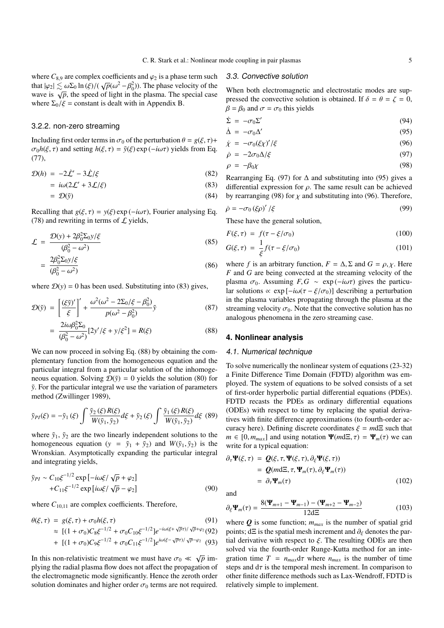where  $C_{8,9}$  are complex coefficients and  $\varphi_2$  is a phase term such that  $\sqrt{6}$ that  $|\varphi_2| \lesssim \omega \Sigma_0 \ln(\xi) / (\sqrt{p}(\omega^2 - \beta_0^2))$ . The phase velocity of the wave is  $\sqrt{p}$ , the speed of light in the plasma. The special case where  $\Sigma_0/\xi$  = constant is dealt with in Appendix B.

# 3.2.2. non-zero streaming

Including first order terms in  $\sigma_0$  of the perturbation  $\theta = g(\xi, \tau) +$  $\sigma_0 h(\xi, \tau)$  and setting  $h(\xi, \tau) = \tilde{y}(\xi) \exp(-i\omega \tau)$  yields from Eq. (77),

$$
\mathcal{D}(h) = -2\dot{\mathcal{L}}' - 3\dot{\mathcal{L}}/\xi \tag{82}
$$

$$
= i\omega(2\mathcal{L}' + 3\mathcal{L}/\xi) \tag{83}
$$

$$
= \mathcal{D}(\tilde{y}) \tag{84}
$$

Recalling that  $g(\xi, \tau) = y(\xi) \exp(-i\omega \tau)$ , Fourier analysing Eq. (78) and rewriting in terms of  $\mathcal L$  yields,

$$
\mathcal{L} = \frac{\mathcal{D}(y) + 2\beta_0^2 \Sigma_0 y/\xi}{(\beta_0^2 - \omega^2)} \n= \frac{2\beta_0^2 \Sigma_0 y/\xi}{(\beta_0^2 - \omega^2)} \tag{86}
$$

where  $D(y) = 0$  has been used. Substituting into (83) gives,

$$
\mathcal{D}(\tilde{y}) = \left[\frac{(\xi \tilde{y})'}{\xi}\right]' + \frac{\omega^2(\omega^2 - 2\Sigma_0/\xi - \beta_0^2)}{p(\omega^2 - \beta_0^2)}\tilde{y}
$$
(87)

$$
= \frac{2i\omega\beta_0^2 \Sigma_0}{(\beta_0^2 - \omega^2)} [2y'/\xi + y/\xi^2] = R(\xi)
$$
 (88)

We can now proceed in solving Eq.  $(88)$  by obtaining the complementary function from the homogeneous equation and the particular integral from a particular solution of the inhomogeneous equation. Solving  $\mathcal{D}(\tilde{y}) = 0$  yields the solution (80) for *y*˜. For the particular integral we use the variation of parameters method (Zwillinger 1989),

$$
\tilde{y}_{PI}(\xi) = -\tilde{y}_1(\xi) \int \frac{\tilde{y}_2(\xi) R(\xi)}{W(\tilde{y}_1, \tilde{y}_2)} d\xi + \tilde{y}_2(\xi) \int \frac{\tilde{y}_1(\xi) R(\xi)}{W(\tilde{y}_1, \tilde{y}_2)} d\xi \tag{89}
$$

where  $\tilde{y}_1$ ,  $\tilde{y}_2$  are the two linearly independent solutions to the homogeneous equation ( $y = \tilde{y}_1 + \tilde{y}_2$ ) and  $W(\tilde{y}_1, \tilde{y}_2)$  is the Wronskian. Asymptotically expanding the particular integral and integrating yields,

$$
\tilde{y}_{PI} \sim C_{10}\xi^{-1/2} \exp\left[-i\omega\xi/\sqrt{p} + \varphi_2\right] \n+ C_{11}\xi^{-1/2} \exp\left[i\omega\xi/\sqrt{p} - \varphi_2\right]
$$
\n(90)

where  $C_{10,11}$  are complex coefficients. Therefore,

$$
\theta(\xi, \tau) = g(\xi, \tau) + \sigma_0 h(\xi, \tau)
$$
(91)  
\n
$$
\approx [(1 + \sigma_0)C_8 \xi^{-1/2} + \sigma_0 C_{10} \xi^{-1/2}] e^{-i\omega(\xi + \sqrt{p}\tau)/\sqrt{p} + \varphi_2} (92)
$$

+ 
$$
[(1 + \sigma_0)C_9\xi^{-1/2} + \sigma_0C_{11}\xi^{-1/2}]e^{i\omega(\xi - \sqrt{p}\tau)/\sqrt{p}-\varphi_2}
$$
 (93)

In this non-relativistic treatment we must have  $\sigma_0 \ll \sqrt{p}$  implying the radial plasma flow does not affect the propagation of the electromagnetic mode significantly. Hence the zeroth order solution dominates and higher order  $\sigma_0$  terms are not required.

#### 3.3. Convective solution

When both electromagnetic and electrostatic modes are suppressed the convective solution is obtained. If  $\delta = \theta = \zeta = 0$ ,  $\beta = \beta_0$  and  $\sigma = \sigma_0$  this yields

$$
\dot{\Sigma} = -\sigma_0 \Sigma'
$$
 (94)

$$
\dot{\Delta} = -\sigma_0 \Delta' \tag{95}
$$

$$
\dot{\chi} = -\sigma_0 (\xi \chi)' / \xi \tag{96}
$$

$$
\dot{\rho} = -2\sigma_0 \Delta/\xi \tag{97}
$$

$$
\rho = -\beta_0 \chi \tag{98}
$$

Rearranging Eq. (97) for  $\Delta$  and substituting into (95) gives a differential expression for  $\rho$ . The same result can be achieved by rearranging (98) for  $\chi$  and substituting into (96). Therefore,

$$
\dot{\rho} = -\sigma_0 (\xi \rho)' / \xi \tag{99}
$$

These have the general solution,

$$
F(\xi, \tau) = f(\tau - \xi/\sigma_0) \tag{100}
$$
\n
$$
G(\xi, \tau) = \frac{1}{\xi} \xi(\xi, \xi/\tau) \tag{101}
$$

$$
G(\xi,\tau) = \frac{1}{\xi}f(\tau - \xi/\sigma_0) \tag{101}
$$

where *f* is an arbitrary function,  $F = \Delta$ ,  $\Sigma$  and  $G = \rho$ ,  $\chi$ . Here *F* and *G* are being convected at the streaming velocity of the plasma  $\sigma_0$ . Assuming  $F, G \sim \exp(-i\omega\tau)$  gives the particular solutions  $\propto$  exp  $[-i\omega(\tau - \xi/\sigma_0)]$  describing a perturbation in the plasma variables propagating through the plasma at the streaming velocity  $\sigma_0$ . Note that the convective solution has no analogous phenomena in the zero streaming case.

# **4. Nonlinear analysis**

#### 4.1. Numerical technique

To solve numerically the nonlinear system of equations (23-32) a Finite Difference Time Domain (FDTD) algorithm was employed. The system of equations to be solved consists of a set of first-order hyperbolic partial differential equations (PDEs). FDTD recasts the PDEs as ordinary differential equations (ODEs) with respect to time by replacing the spatial derivatives with finite difference approximations (to fourth-order accuracy here). Defining discrete coordinates  $\xi = m d\Xi$  such that  $m \in [0, m_{max}]$  and using notation  $\Psi(md\Xi, \tau) = \Psi_m(\tau)$  we can write for a typical equation:

$$
\partial_{\tau} \Psi(\xi, \tau) = Q(\xi, \tau, \Psi(\xi, \tau), \partial_{\xi} \Psi(\xi, \tau))
$$
  
=  $Q(m \Delta \Xi, \tau, \Psi_m(\tau), \partial_{\xi} \Psi_m(\tau))$   
=  $\partial_{\tau} \Psi_m(\tau)$  (102)

and

$$
\partial_{\xi} \Psi_m(\tau) = \frac{8(\Psi_{m+1} - \Psi_{m-1}) - (\Psi_{m+2} - \Psi_{m-2})}{12d\Xi}
$$
(103)

where  $Q$  is some function;  $m_{max}$  is the number of spatial grid points; dΞ is the spatial mesh increment and  $\partial_{\xi}$  denotes the partial derivative with respect to  $\xi$ . The resulting ODEs are then solved via the fourth-order Runge-Kutta method for an integration time  $T = n_{max}d\tau$  where  $n_{max}$  is the number of time steps and  $d\tau$  is the temporal mesh increment. In comparison to other finite difference methods such as Lax-Wendroff, FDTD is relatively simple to implement.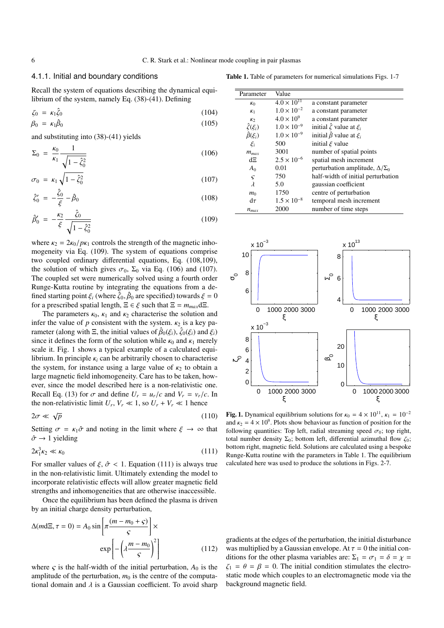# 4.1.1. Initial and boundary conditions

Table 1. Table of parameters for numerical simulations Figs. 1-7

Recall the system of equations describing the dynamical equilibrium of the system, namely Eq. (38)-(41). Defining

$$
\zeta_0 = \kappa_1 \hat{\zeta}_0 \tag{104}
$$
\n
$$
\beta_0 = \kappa_1 \hat{\beta}_0 \tag{105}
$$

and substituting into (38)-(41) yields

$$
\Sigma_0 = \frac{\kappa_0}{\kappa_1} \frac{1}{\sqrt{1 - \hat{\zeta}_0^2}}
$$
(106)

$$
\sigma_0 = \kappa_1 \sqrt{1 - \hat{\zeta}_0^2} \tag{107}
$$

$$
\hat{\zeta}'_0 = -\frac{\hat{\zeta}_0}{\xi} - \hat{\beta}_0 \tag{108}
$$

$$
\hat{\beta}'_0 = -\frac{\kappa_2}{\xi} \frac{\hat{\zeta}_0}{\sqrt{1 - \hat{\zeta}_0^2}}\tag{109}
$$

where  $\kappa_2 = 2\kappa_0/p\kappa_1$  controls the strength of the magnetic inhomogeneity via Eq. (109). The system of equations comprise two coupled ordinary differential equations, Eq. (108,109), the solution of which gives  $\sigma_0$ ,  $\Sigma_0$  via Eq. (106) and (107). The coupled set were numerically solved using a fourth order Runge-Kutta routine by integrating the equations from a defined starting point  $\xi_i$  (where  $\tilde{\zeta}_0$ ,  $\hat{\beta}_0$  are specified) towards  $\xi = 0$ for a prescribed spatial length,  $\Xi \in \xi$  such that  $\Xi = m_{max} d\Xi$ .

The parameters  $\kappa_0$ ,  $\kappa_1$  and  $\kappa_2$  characterise the solution and infer the value of *p* consistent with the system.  $\kappa_2$  is a key parameter (along with  $\Xi$ , the initial values of  $\hat{\beta}_0(\xi_i)$ ,  $\hat{\zeta}_0(\xi_i)$  and  $\xi_i$ ) since it defines the form of the solution while  $\kappa_0$  and  $\kappa_1$  merely scale it. Fig. 1 shows a typical example of a calculated equilibrium. In principle  $\kappa_i$  can be arbitrarily chosen to characterise the system, for instance using a large value of  $\kappa_2$  to obtain a large magnetic field inhomogeneity. Care has to be taken, however, since the model described here is a non-relativistic one. Recall Eq. (13) for  $\sigma$  and define  $U_r = u_r/c$  and  $V_r = v_r/c$ . In the non-relativistic limit  $U_r$ ,  $V_r \ll 1$ , so  $U_r + V_r \ll 1$  hence

$$
2\sigma \ll \sqrt{p} \tag{110}
$$

Setting  $\sigma = \kappa_1 \hat{\sigma}$  and noting in the limit where  $\xi \to \infty$  that  $\hat{\sigma} \rightarrow 1$  yielding

$$
2\kappa_1^3 \kappa_2 \ll \kappa_0 \tag{111}
$$

For smaller values of  $\xi$ ,  $\hat{\sigma}$  < 1. Equation (111) is always true in the non-relativistic limit. Ultimately extending the model to incorporate relativistic effects will allow greater magnetic field strengths and inhomogeneities that are otherwise inaccessible.

Once the equilibrium has been defined the plasma is driven by an initial charge density perturbation,

$$
\Delta(md\Xi, \tau = 0) = A_0 \sin\left[\pi \frac{(m - m_0 + \varsigma)}{\varsigma}\right] \times \exp\left[-\left(\lambda \frac{m - m_0}{\varsigma}\right)^2\right]
$$
(112)

where  $\varsigma$  is the half-width of the initial perturbation,  $A_0$  is the amplitude of the perturbation,  $m_0$  is the centre of the computational domain and  $\lambda$  is a Gaussian coefficient. To avoid sharp

| Parameter            | Value                |                                           |
|----------------------|----------------------|-------------------------------------------|
| K <sub>0</sub>       | $4.0 \times 10^{11}$ | a constant parameter                      |
| K <sub>1</sub>       | $1.0 \times 10^{-2}$ | a constant parameter                      |
| K <sub>2</sub>       | $4.0 \times 10^{9}$  | a constant parameter                      |
| $\hat{\zeta}(\xi_i)$ | $1.0 \times 10^{-9}$ | initial $\hat{\zeta}$ value at $\xi_i$    |
| $\hat{\beta}(\xi_i)$ | $1.0 \times 10^{-9}$ | initial $\hat{\beta}$ value at $\xi_i$    |
| $\xi_i$              | 500                  | initial $\xi$ value                       |
| $m_{max}$            | 3001                 | number of spatial points                  |
| dΞ                   | $2.5 \times 10^{-6}$ | spatial mesh increment                    |
| A <sub>0</sub>       | 0.01                 | perturbation amplitude, $\Delta/\Sigma_0$ |
| $\varsigma$          | 750                  | half-width of initial perturbation        |
| $\lambda$            | 5.0                  | gaussian coefficient                      |
| m <sub>0</sub>       | 1750                 | centre of perturbation                    |
| $d\tau$              | $1.5 \times 10^{-8}$ | temporal mesh increment                   |
| $n_{max}$            | 2000                 | number of time steps                      |



Fig. 1. Dynamical equilibrium solutions for  $\kappa_0 = 4 \times 10^{11}$ ,  $\kappa_1 = 10^{-2}$ and  $\kappa_2 = 4 \times 10^9$ . Plots show behaviour as function of position for the following quantities: Top left, radial streaming speed  $\sigma_0$ ; top right, total number density  $\Sigma_0$ ; bottom left, differential azimuthal flow  $\zeta_0$ ; bottom right, magnetic field. Solutions are calculated using a bespoke Runge-Kutta routine with the parameters in Table 1. The equilibrium calculated here was used to produce the solutions in Figs. 2-7.

gradients at the edges of the perturbation, the initial disturbance was multiplied by a Gaussian envelope. At  $\tau = 0$  the initial conditions for the other plasma variables are:  $\Sigma_1 = \sigma_1 = \delta = \chi$  $\zeta_1 = \theta = \beta = 0$ . The initial condition stimulates the electrostatic mode which couples to an electromagnetic mode via the background magnetic field.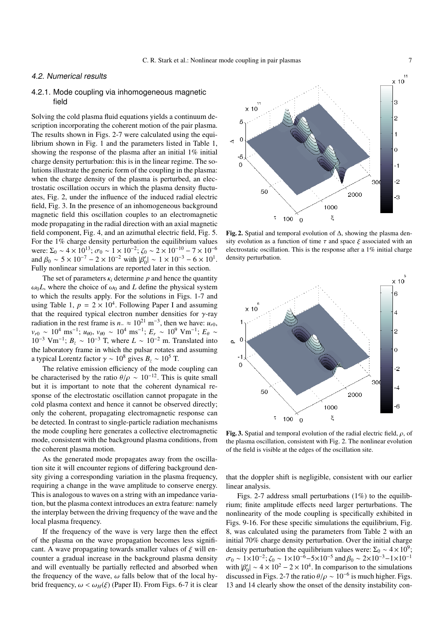# 4.2. Numerical results

# 4.2.1. Mode coupling via inhomogeneous magnetic field

Solving the cold plasma fluid equations yields a continuum description incorporating the coherent motion of the pair plasma. The results shown in Figs. 2-7 were calculated using the equilibrium shown in Fig. 1 and the parameters listed in Table 1, showing the response of the plasma after an initial 1% initial charge density perturbation: this is in the linear regime. The solutions illustrate the generic form of the coupling in the plasma: when the charge density of the plasma is perturbed, an electrostatic oscillation occurs in which the plasma density fluctuates, Fig. 2, under the influence of the induced radial electric field, Fig. 3. In the presence of an inhomogeneous background magnetic field this oscillation couples to an electromagnetic mode propagating in the radial direction with an axial magnetic field component, Fig. 4, and an azimuthal electric field, Fig. 5. For the 1% charge density perturbation the equilibrium values were:  $\Sigma_0 \sim 4 \times 10^{13}$ ;  $\sigma_0 \sim 1 \times 10^{-2}$ ;  $\zeta_0 \sim 2 \times 10^{-10} - 7 \times 10^{-6}$ and  $\beta_0 \sim 5 \times 10^{-7} - 2 \times 10^{-2}$  with  $|\beta'_0| \sim 1 \times 10^{-3} - 6 \times 10^1$ . Fully nonlinear simulations are reported later in this section.

The set of parameters  $\kappa_i$  determine p and hence the quantity  $\omega_0 L$ , where the choice of  $\omega_0$  and *L* define the physical system to which the results apply. For the solutions in Figs. 1-7 and using Table 1,  $p = 2 \times 10^4$ . Following Paper I and assuming that the required typical electron number densities for  $\gamma$ -ray radiation in the rest frame is  $n_-\approx 10^{21}$  m<sup>-3</sup>, then we have:  $u_{r0}$ ,  $v_{r0} \sim 10^4 \text{ ms}^{-1}$ ;  $u_{\theta 0}$ ,  $v_{\theta 0} \sim 10^4 \text{ ms}^{-1}$ ;  $E_r \sim 10^9 \text{ V} \text{m}^{-1}$ ;  $E_\theta \sim$ 10<sup>-3</sup> Vm<sup>-1</sup>;  $B_z \sim 10^{-3}$  T, where  $L \sim 10^{-2}$  m. Translated into the laboratory frame in which the pulsar rotates and assuming a typical Lorentz factor  $\gamma \sim 10^8$  gives  $B_z \sim 10^5$  T.

The relative emission efficiency of the mode coupling can be characterised by the ratio  $\theta/\rho \sim 10^{-12}$ . This is quite small but it is important to note that the coherent dynamical response of the electrostatic oscillation cannot propagate in the cold plasma context and hence it cannot be observed directly; only the coherent, propagating electromagnetic response can be detected. In contrast to single-particle radiation mechanisms the mode coupling here generates a collective electromagnetic mode, consistent with the background plasma conditions, from the coherent plasma motion.

As the generated mode propagates away from the oscillation site it will encounter regions of differing background density giving a corresponding variation in the plasma frequency, requiring a change in the wave amplitude to conserve energy. This is analogous to waves on a string with an impedance variation, but the plasma context introduces an extra feature: namely the interplay between the driving frequency of the wave and the local plasma frequency.

If the frequency of the wave is very large then the effect of the plasma on the wave propagation becomes less significant. A wave propagating towards smaller values of  $\xi$  will encounter a gradual increase in the background plasma density and will eventually be partially reflected and absorbed when the frequency of the wave,  $\omega$  falls below that of the local hybrid frequency,  $\omega < \omega_H(\xi)$  (Paper II). From Figs. 6-7 it is clear



Fig. 2. Spatial and temporal evolution of ∆, showing the plasma density evolution as a function of time  $\tau$  and space  $\xi$  associated with an electrostatic oscillation. This is the response after a 1% initial charge density perturbation.



Fig. 3. Spatial and temporal evolution of the radial electric field,  $\rho$ , of the plasma oscillation, consistent with Fig. 2. The nonlinear evolution of the field is visible at the edges of the oscillation site.

that the doppler shift is negligible, consistent with our earlier linear analysis.

Figs. 2-7 address small perturbations  $(1\%)$  to the equilibrium; finite amplitude effects need larger perturbations. The nonlinearity of the mode coupling is specifically exhibited in Figs. 9-16. For these specific simulations the equilibrium, Fig. 8, was calculated using the parameters from Table 2 with an initial 70% charge density perturbation. Over the initial charge density perturbation the equilibrium values were:  $\Sigma_0 \sim 4 \times 10^9$ ;  $\sigma_0 \sim 1 \times 10^{-2}$ ;  $\zeta_0 \sim 1 \times 10^{-6} - 5 \times 10^{-5}$  and  $\beta_0 \sim 2 \times 10^{-3} - 1 \times 10^{-1}$ with  $|\beta'_0| \sim 4 \times 10^2 - 2 \times 10^4$ . In comparison to the simulations discussed in Figs. 2-7 the ratio  $\theta/\rho \sim 10^{-6}$  is much higher. Figs. 13 and 14 clearly show the onset of the density instability con-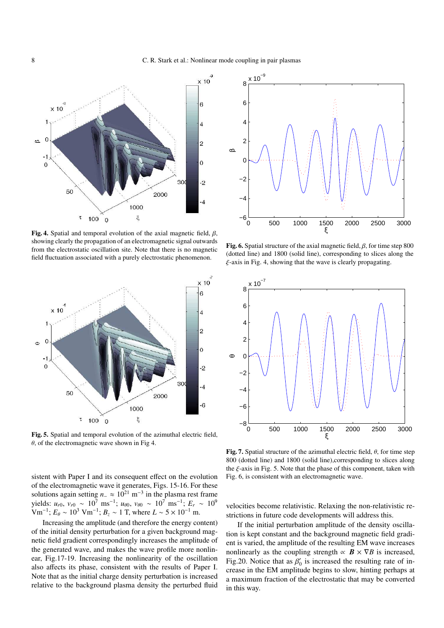

Fig. 4. Spatial and temporal evolution of the axial magnetic field,  $\beta$ , showing clearly the propagation of an electromagnetic signal outwards from the electrostatic oscillation site. Note that there is no magnetic field fluctuation associated with a purely electrostatic phenomenon.



Fig. 5. Spatial and temporal evolution of the azimuthal electric field,  $\theta$ , of the electromagnetic wave shown in Fig 4.

sistent with Paper I and its consequent effect on the evolution of the electromagnetic wave it generates, Figs. 15-16. For these solutions again setting  $n_-\approx 10^{21}$  m<sup>-3</sup> in the plasma rest frame  $y$ ields:  $u_{r0}$ ,  $v_{r0} \sim 10^7 \text{ ms}^{-1}$ ;  $u_{\theta 0}$ ,  $v_{\theta 0} \sim 10^7 \text{ ms}^{-1}$ ;  $E_r \sim 10^9$  $\text{Vm}^{-1}$ ;  $E_\theta \sim 10^3 \text{ Vm}^{-1}$ ;  $B_z \sim 1 \text{ T}$ , where  $L \sim 5 \times 10^{-1} \text{ m}$ .

Increasing the amplitude (and therefore the energy content) of the initial density perturbation for a given background magnetic field gradient correspondingly increases the amplitude of the generated wave, and makes the wave profile more nonlinear, Fig.17-19. Increasing the nonlinearity of the oscillation also affects its phase, consistent with the results of Paper I. Note that as the initial charge density perturbation is increased relative to the background plasma density the perturbed fluid



Fig. 6. Spatial structure of the axial magnetic field,  $\beta$ , for time step 800 (dotted line) and 1800 (solid line), corresponding to slices along the ξ-axis in Fig. 4, showing that the wave is clearly propagating.



Fig. 7. Spatial structure of the azimuthal electric field,  $\theta$ , for time step 800 (dotted line) and 1800 (solid line),corresponding to slices along the  $\xi$ -axis in Fig. 5. Note that the phase of this component, taken with Fig. 6, is consistent with an electromagnetic wave.

velocities become relativistic. Relaxing the non-relativistic restrictions in future code developments will address this.

If the initial perturbation amplitude of the density oscillation is kept constant and the background magnetic field gradient is varied, the amplitude of the resulting EM wave increases nonlinearly as the coupling strength  $\propto$  *B*  $\times$   $\nabla$ *B* is increased, Fig.20. Notice that as  $\beta'_0$  is increased the resulting rate of increase in the EM amplitude begins to slow, hinting perhaps at a maximum fraction of the electrostatic that may be converted in this way.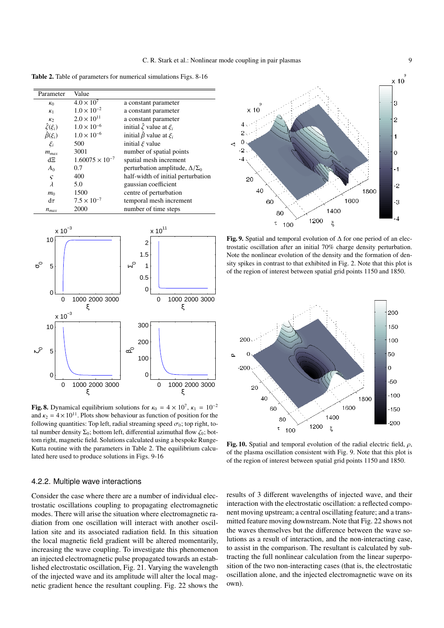Table 2. Table of parameters for numerical simulations Figs. 8-16

| Parameter            | Value                    |                                           |
|----------------------|--------------------------|-------------------------------------------|
| K <sub>0</sub>       | $4.0 \times 10^7$        | a constant parameter                      |
| K <sub>1</sub>       | $1.0 \times 10^{-2}$     | a constant parameter                      |
| K <sub>2</sub>       | $2.0 \times 10^{11}$     | a constant parameter                      |
| $\hat{\zeta}(\xi_i)$ | $1.0 \times 10^{-6}$     | initial $\hat{\zeta}$ value at $\xi_i$    |
| $\hat{\beta}(\xi_i)$ | $1.0 \times 10^{-6}$     | initial $\hat{\beta}$ value at $\xi_i$    |
| $\xi_i$              | 500                      | initial $\xi$ value                       |
| $m_{max}$            | 3001                     | number of spatial points                  |
| dΞ                   | $1.60075 \times 10^{-7}$ | spatial mesh increment                    |
| $A_0$                | 0.7                      | perturbation amplitude, $\Delta/\Sigma_0$ |
| $\varsigma$          | 400                      | half-width of initial perturbation        |
| $\lambda$            | 5.0                      | gaussian coefficient                      |
| m <sub>0</sub>       | 1500                     | centre of perturbation                    |
| $d\tau$              | $7.5 \times 10^{-7}$     | temporal mesh increment                   |
| $n_{max}$            | 2000                     | number of time steps                      |



**Fig. 8.** Dynamical equilibrium solutions for  $\kappa_0 = 4 \times 10^7$ ,  $\kappa_1 = 10^{-2}$ and  $\kappa_2 = 4 \times 10^{11}$ . Plots show behaviour as function of position for the following quantities: Top left, radial streaming speed  $\sigma_0$ ; top right, total number density  $\Sigma_0$ ; bottom left, differential azimuthal flow  $\zeta_0$ ; bottom right, magnetic field. Solutions calculated using a bespoke Runge-Kutta routine with the parameters in Table 2. The equilibrium calculated here used to produce solutions in Figs. 9-16

#### 4.2.2. Multiple wave interactions

Consider the case where there are a number of individual electrostatic oscillations coupling to propagating electromagnetic modes. There will arise the situation where electromagnetic radiation from one oscillation will interact with another oscillation site and its associated radiation field. In this situation the local magnetic field gradient will be altered momentarily, increasing the wave coupling. To investigate this phenomenon an injected electromagnetic pulse propagated towards an established electrostatic oscillation, Fig. 21. Varying the wavelength of the injected wave and its amplitude will alter the local magnetic gradient hence the resultant coupling. Fig. 22 shows the



Fig. 9. Spatial and temporal evolution of ∆ for one period of an electrostatic oscillation after an initial 70% charge density perturbation. Note the nonlinear evolution of the density and the formation of density spikes in contrast to that exhibited in Fig. 2. Note that this plot is of the region of interest between spatial grid points 1150 and 1850.



Fig. 10. Spatial and temporal evolution of the radial electric field,  $\rho$ , of the plasma oscillation consistent with Fig. 9. Note that this plot is of the region of interest between spatial grid points 1150 and 1850.

results of 3 different wavelengths of injected wave, and their interaction with the electrostatic oscillation: a reflected component moving upstream; a central oscillating feature; and a transmitted feature moving downstream. Note that Fig. 22 shows not the waves themselves but the difference between the wave solutions as a result of interaction, and the non-interacting case, to assist in the comparison. The resultant is calculated by subtracting the full nonlinear calculation from the linear superposition of the two non-interacting cases (that is, the electrostatic oscillation alone, and the injected electromagnetic wave on its own).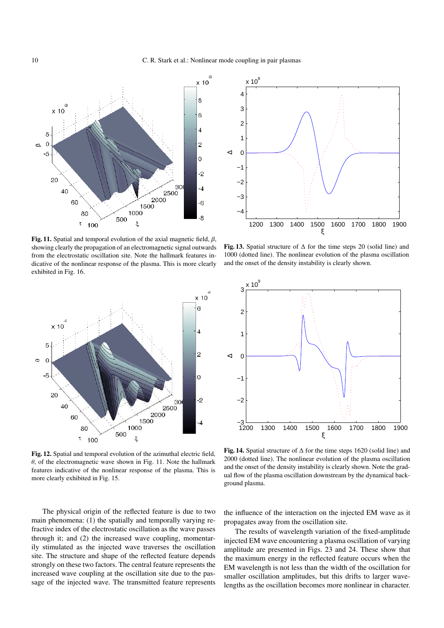

Fig. 11. Spatial and temporal evolution of the axial magnetic field,  $\beta$ , showing clearly the propagation of an electromagnetic signal outwards from the electrostatic oscillation site. Note the hallmark features indicative of the nonlinear response of the plasma. This is more clearly exhibited in Fig. 16.



Fig. 12. Spatial and temporal evolution of the azimuthal electric field,  $\theta$ , of the electromagnetic wave shown in Fig. 11. Note the hallmark features indicative of the nonlinear response of the plasma. This is more clearly exhibited in Fig. 15.

The physical origin of the reflected feature is due to two main phenomena: (1) the spatially and temporally varying refractive index of the electrostatic oscillation as the wave passes through it; and (2) the increased wave coupling, momentarily stimulated as the injected wave traverses the oscillation site. The structure and shape of the reflected feature depends strongly on these two factors. The central feature represents the increased wave coupling at the oscillation site due to the passage of the injected wave. The transmitted feature represents



Fig. 13. Spatial structure of  $\Delta$  for the time steps 20 (solid line) and 1000 (dotted line). The nonlinear evolution of the plasma oscillation and the onset of the density instability is clearly shown.



Fig. 14. Spatial structure of  $\Delta$  for the time steps 1620 (solid line) and 2000 (dotted line). The nonlinear evolution of the plasma oscillation and the onset of the density instability is clearly shown. Note the gradual flow of the plasma oscillation downstream by the dynamical background plasma.

the influence of the interaction on the injected EM wave as it propagates away from the oscillation site.

The results of wavelength variation of the fixed-amplitude injected EM wave encountering a plasma oscillation of varying amplitude are presented in Figs. 23 and 24. These show that the maximum energy in the reflected feature occurs when the EM wavelength is not less than the width of the oscillation for smaller oscillation amplitudes, but this drifts to larger wavelengths as the oscillation becomes more nonlinear in character.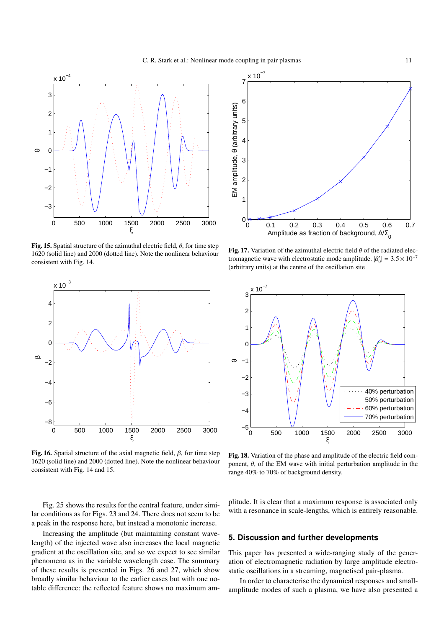

Fig. 15. Spatial structure of the azimuthal electric field,  $\theta$ , for time step 1620 (solid line) and 2000 (dotted line). Note the nonlinear behaviour consistent with Fig. 14.



Fig. 16. Spatial structure of the axial magnetic field,  $\beta$ , for time step 1620 (solid line) and 2000 (dotted line). Note the nonlinear behaviour consistent with Fig. 14 and 15.

Fig. 25 shows the results for the central feature, under similar conditions as for Figs. 23 and 24. There does not seem to be a peak in the response here, but instead a monotonic increase.

Increasing the amplitude (but maintaining constant wavelength) of the injected wave also increases the local magnetic gradient at the oscillation site, and so we expect to see similar phenomena as in the variable wavelength case. The summary of these results is presented in Figs. 26 and 27, which show broadly similar behaviour to the earlier cases but with one notable difference: the reflected feature shows no maximum am-



Fig. 17. Variation of the azimuthal electric field  $\theta$  of the radiated electromagnetic wave with electrostatic mode amplitude.  $|\beta'_0| = 3.5 \times 10^{-7}$ (arbitrary units) at the centre of the oscillation site



Fig. 18. Variation of the phase and amplitude of the electric field component,  $\theta$ , of the EM wave with initial perturbation amplitude in the range 40% to 70% of background density.

plitude. It is clear that a maximum response is associated only with a resonance in scale-lengths, which is entirely reasonable.

#### **5. Discussion and further developments**

This paper has presented a wide-ranging study of the generation of electromagnetic radiation by large amplitude electrostatic oscillations in a streaming, magnetised pair-plasma.

In order to characterise the dynamical responses and smallamplitude modes of such a plasma, we have also presented a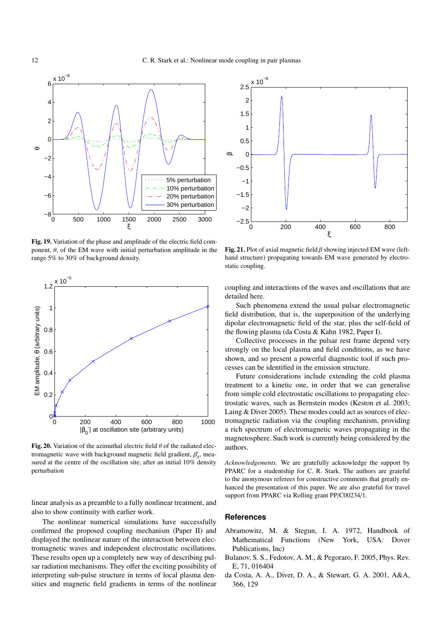

Fig. 19. Variation of the phase and amplitude of the electric field component,  $\theta$ , of the EM wave with initial perturbation amplitude in the range 5% to 30% of background density.



Fig. 20. Variation of the azimuthal electric field  $\theta$  of the radiated electromagnetic wave with background magnetic field gradient,  $\beta'_0$ , measured at the centre of the oscillation site, after an initial 10% density perturbation

linear analysis as a preamble to a fully nonlinear treatment, and also to show continuity with earlier work.

The nonlinear numerical simulations have successfully confirmed the proposed coupling mechanism (Paper II) and displayed the nonlinear nature of the interaction between electromagnetic waves and independent electrostatic oscillations. These results open up a completely new way of describing pulsar radiation mechanisms. They offer the exciting possibility of interpreting sub-pulse structure in terms of local plasma densities and magnetic field gradients in terms of the nonlinear



Fig. 21. Plot of axial magnetic field  $\beta$  showing injected EM wave (lefthand structure) propagating towards EM wave generated by electrostatic coupling.

coupling and interactions of the waves and oscillations that are detailed here.

Such phenomena extend the usual pulsar electromagnetic field distribution, that is, the superposition of the underlying dipolar electromagnetic field of the star, plus the self-field of the flowing plasma (da Costa & Kahn 1982, Paper I).

Collective processes in the pulsar rest frame depend very strongly on the local plasma and field conditions, as we have shown, and so present a powerful diagnostic tool if such processes can be identified in the emission structure.

Future considerations include extending the cold plasma treatment to a kinetic one, in order that we can generalise from simple cold electrostatic oscillations to propagating electrostatic waves, such as Bernstein modes (Keston et al. 2003; Laing & Diver 2005). These modes could act as sources of electromagnetic radiation via the coupling mechanism, providing a rich spectrum of electromagnetic waves propagating in the magnetosphere. Such work is currently being considered by the authors.

*Acknowledgements.* We are gratefully acknowledge the support by PPARC for a studentship for C. R. Stark. The authors are grateful to the anonymous referees for constructive comments that greatly enhanced the presentation of this paper. We are also grateful for travel support from PPARC via Rolling grant PP/C00234/1.

### **References**

- Abramowitz, M. & Stegun, I. A. 1972, Handbook of Mathematical Functions (New York, USA: Dover Publications, Inc)
- Bulanov, S. S., Fedotov, A. M., & Pegoraro, F. 2005, Phys. Rev. E, 71, 016404
- da Costa, A. A., Diver, D. A., & Stewart, G. A. 2001, A&A, 366, 129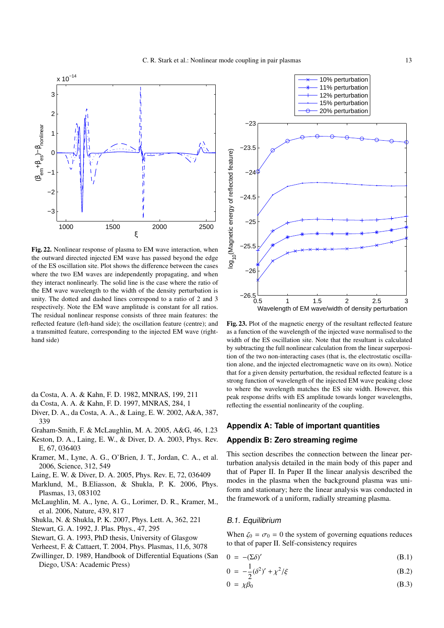

Fig. 22. Nonlinear response of plasma to EM wave interaction, when the outward directed injected EM wave has passed beyond the edge of the ES oscillation site. Plot shows the difference between the cases where the two EM waves are independently propagating, and when they interact nonlinearly. The solid line is the case where the ratio of the EM wave wavelength to the width of the density perturbation is unity. The dotted and dashed lines correspond to a ratio of 2 and 3 respectively. Note the EM wave amplitude is constant for all ratios. The residual nonlinear response consists of three main features: the reflected feature (left-hand side); the oscillation feature (centre); and a transmitted feature, corresponding to the injected EM wave (righthand side)

- da Costa, A. A. & Kahn, F. D. 1982, MNRAS, 199, 211
- da Costa, A. A. & Kahn, F. D. 1997, MNRAS, 284, 1
- Diver, D. A., da Costa, A. A., & Laing, E. W. 2002, A&A, 387, 339
- Graham-Smith, F. & McLaughlin, M. A. 2005, A&G, 46, 1.23
- Keston, D. A., Laing, E. W., & Diver, D. A. 2003, Phys. Rev. E, 67, 036403
- Kramer, M., Lyne, A. G., O'Brien, J. T., Jordan, C. A., et al. 2006, Science, 312, 549
- Laing, E. W. & Diver, D. A. 2005, Phys. Rev. E, 72, 036409
- Marklund, M., B.Eliasson, & Shukla, P. K. 2006, Phys. Plasmas, 13, 083102
- McLaughlin, M. A., lyne, A. G., Lorimer, D. R., Kramer, M., et al. 2006, Nature, 439, 817
- Shukla, N. & Shukla, P. K. 2007, Phys. Lett. A, 362, 221
- Stewart, G. A. 1992, J. Plas. Phys., 47, 295
- Stewart, G. A. 1993, PhD thesis, University of Glasgow
- Verheest, F. & Cattaert, T. 2004, Phys. Plasmas, 11,6, 3078
- Zwillinger, D. 1989, Handbook of Differential Equations (San Diego, USA: Academic Press)



Fig. 23. Plot of the magnetic energy of the resultant reflected feature as a function of the wavelength of the injected wave normalised to the width of the ES oscillation site. Note that the resultant is calculated by subtracting the full nonlinear calculation from the linear superposition of the two non-interacting cases (that is, the electrostatic oscillation alone, and the injected electromagnetic wave on its own). Notice that for a given density perturbation, the residual reflected feature is a strong function of wavelength of the injected EM wave peaking close to where the wavelength matches the ES site width. However, this peak response drifts with ES amplitude towards longer wavelengths, reflecting the essential nonlinearity of the coupling.

# **Appendix A: Table of important quantities**

# **Appendix B: Zero streaming regime**

This section describes the connection between the linear perturbation analysis detailed in the main body of this paper and that of Paper II. In Paper II the linear analysis described the modes in the plasma when the background plasma was uniform and stationary; here the linear analysis was conducted in the framework of a uniform, radially streaming plasma.

#### B.1. Equilibrium

When  $\zeta_0 = \sigma_0 = 0$  the system of governing equations reduces to that of paper II. Self-consistency requires

 $0 = -(\Sigma \delta)'$ (B.1)

$$
0 = -\frac{1}{2}(\delta^2)' + \chi^2/\xi
$$
 (B.2)

$$
0 = \chi \beta_0 \tag{B.3}
$$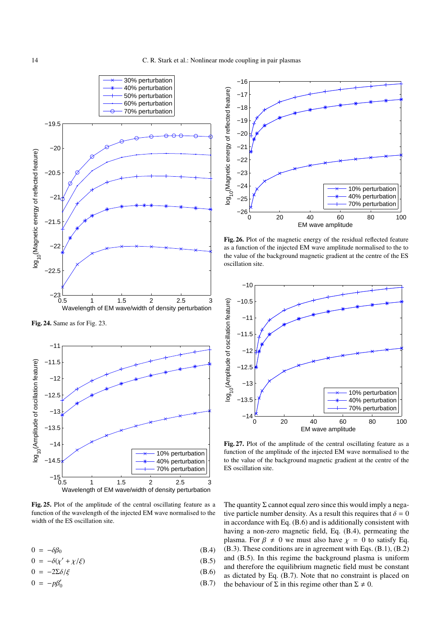

Fig. 24. Same as for Fig. 23.



Fig. 25. Plot of the amplitude of the central oscillating feature as a function of the wavelength of the injected EM wave normalised to the width of the ES oscillation site.

$$
0 = -\delta\beta_0 \tag{B.4}
$$

$$
0 = -\delta(\chi' + \chi/\xi) \tag{B.5}
$$

$$
0 = -2\Sigma \delta/\xi \tag{B.6}
$$

$$
0 = -p\beta'_0 \tag{B.7}
$$



Fig. 26. Plot of the magnetic energy of the residual reflected feature as a function of the injected EM wave amplitude normalised to the to the value of the background magnetic gradient at the centre of the ES oscillation site.



Fig. 27. Plot of the amplitude of the central oscillating feature as a function of the amplitude of the injected EM wave normalised to the to the value of the background magnetic gradient at the centre of the ES oscillation site.

The quantity  $\Sigma$  cannot equal zero since this would imply a negative particle number density. As a result this requires that  $\delta = 0$ in accordance with Eq. (B.6) and is additionally consistent with having a non-zero magnetic field, Eq. (B.4), permeating the plasma. For  $\beta \neq 0$  we must also have  $\chi = 0$  to satisfy Eq. (B.3). These conditions are in agreement with Eqs. (B.1), (B.2) and (B.5). In this regime the background plasma is uniform and therefore the equilibrium magnetic field must be constant as dictated by Eq. (B.7). Note that no constraint is placed on the behaviour of  $\Sigma$  in this regime other than  $\Sigma \neq 0$ .